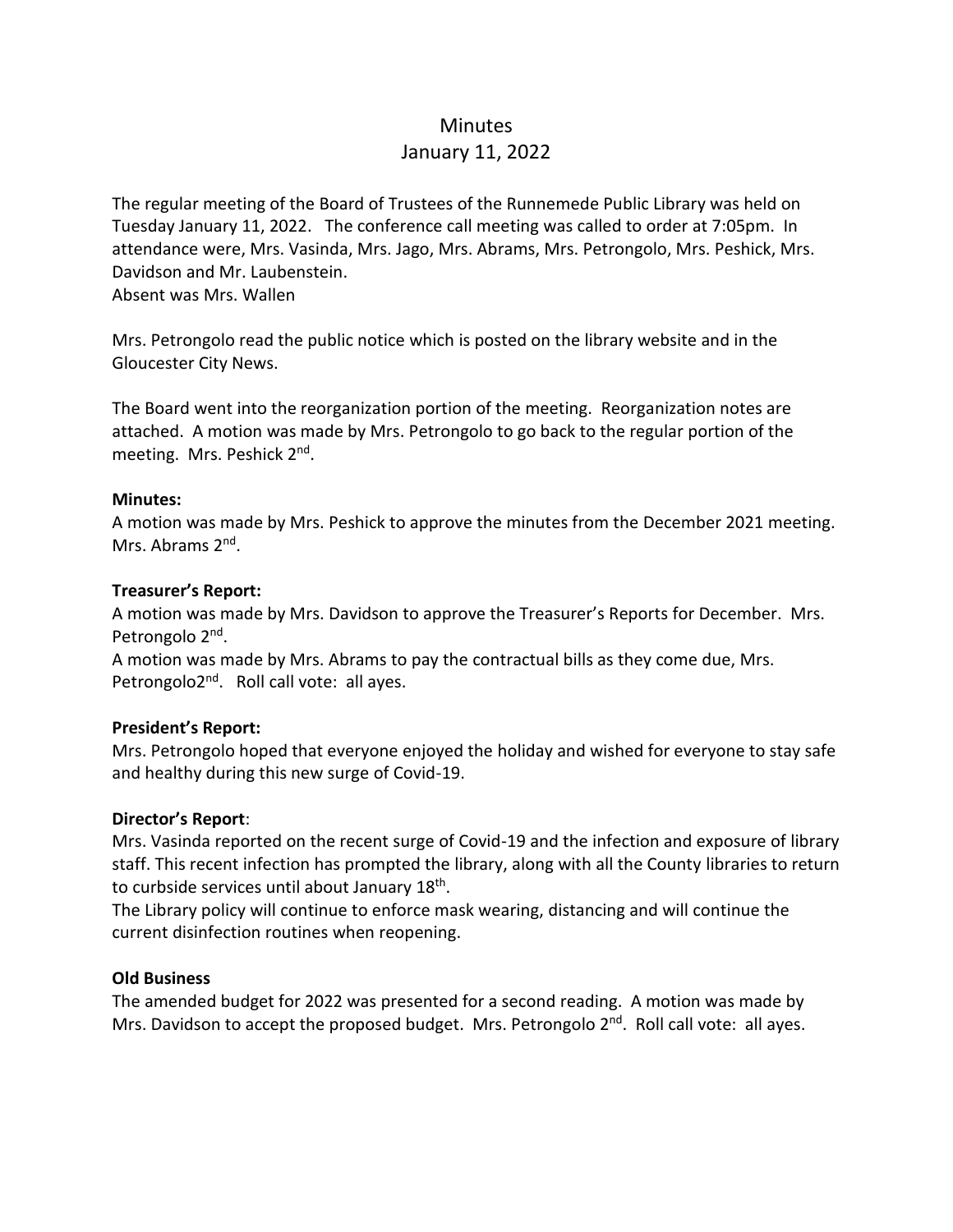## Minutes

# January 11, 2022

The regular meeting of the Board of Trustees of the Runnemede Public Library was held on Tuesday January 11, 2022. The conference call meeting was called to order at 7:05pm. In attendance were, Mrs. Vasinda, Mrs. Jago, Mrs. Abrams, Mrs. Petrongolo, Mrs. Peshick, Mrs. Davidson and Mr. Laubenstein.

Absent was Mrs. Wallen

Mrs. Petrongolo read the public notice which is posted on the library website and in the Gloucester City News.

The Board went into the reorganization portion of the meeting. Reorganization notes are attached. A motion was made by Mrs. Petrongolo to go back to the regular portion of the meeting. Mrs. Peshick 2<sup>nd</sup>.

## **Minutes:**

A motion was made by Mrs. Peshick to approve the minutes from the December 2021 meeting. Mrs. Abrams 2<sup>nd</sup>.

#### **Treasurer's Report:**

A motion was made by Mrs. Davidson to approve the Treasurer's Reports for December. Mrs. Petrongolo 2<sup>nd</sup>.

A motion was made by Mrs. Abrams to pay the contractual bills as they come due, Mrs. Petrongolo2<sup>nd</sup>. Roll call vote: all ayes.

## **President's Report:**

Mrs. Petrongolo hoped that everyone enjoyed the holiday and wished for everyone to stay safe and healthy during this new surge of Covid-19.

## **Director's Report**:

Mrs. Vasinda reported on the recent surge of Covid-19 and the infection and exposure of library staff. This recent infection has prompted the library, along with all the County libraries to return to curbside services until about January 18<sup>th</sup>.

The Library policy will continue to enforce mask wearing, distancing and will continue the current disinfection routines when reopening.

#### **Old Business**

The amended budget for 2022 was presented for a second reading. A motion was made by Mrs. Davidson to accept the proposed budget. Mrs. Petrongolo 2<sup>nd</sup>. Roll call vote: all ayes.